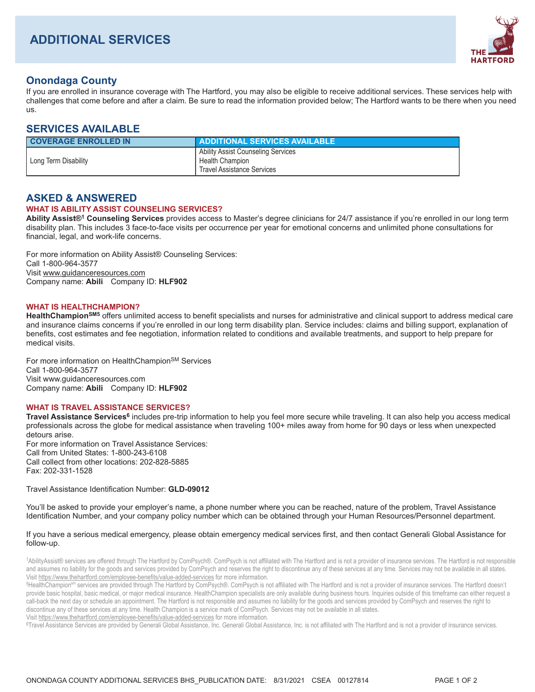

# **Onondaga County**

If you are enrolled in insurance coverage with The Hartford, you may also be eligible to receive additional services. These services help with challenges that come before and after a claim. Be sure to read the information provided below; The Hartford wants to be there when you need US.

## **SERVICES AVAILABLE**

| <b>COVERAGE ENROLLED IN</b> | <b>ADDITIONAL SERVICES AVAILABLE</b>                                                              |
|-----------------------------|---------------------------------------------------------------------------------------------------|
| Long Term Disability        | Ability Assist Counseling Services<br><b>Health Champion</b><br><b>Travel Assistance Services</b> |

## **ASKED & ANSWERED**

### **WHAT IS ABILITY ASSIST COUNSELING SERVICES?**

Ability Assist®<sup>1</sup> Counseling Services provides access to Master's degree clinicians for 24/7 assistance if you're enrolled in our long term disability plan. This includes 3 face-to-face visits per occurrence per year for emotional concerns and unlimited phone consultations for financial, legal, and work-life concerns.

For more information on Ability Assist® Counseling Services: Call 1-800-964-3577 Visit www.quidanceresources.com Company name: Abili Company ID: HLF902

#### **WHAT IS HEALTHCHAMPION?**

HealthChampion<sup>SM5</sup> offers unlimited access to benefit specialists and nurses for administrative and clinical support to address medical care and insurance claims concerns if you're enrolled in our long term disability plan. Service includes: claims and billing support, explanation of benefits, cost estimates and fee negotiation, information related to conditions and available treatments, and support to help prepare for medical visits.

For more information on HealthChampion<sup>SM</sup> Services Call 1-800-964-3577 Visit www.guidanceresources.com Company name: Abili Company ID: HLF902

### **WHAT IS TRAVEL ASSISTANCE SERVICES?**

Travel Assistance Services<sup>6</sup> includes pre-trip information to help you feel more secure while traveling. It can also help you access medical professionals across the globe for medical assistance when traveling 100+ miles away from home for 90 days or less when unexpected detours arise. For more information on Travel Assistance Services: Call from United States: 1-800-243-6108

Call collect from other locations: 202-828-5885 Fax: 202-331-1528

## Travel Assistance Identification Number: GLD-09012

You'll be asked to provide your employer's name, a phone number where you can be reached, nature of the problem, Travel Assistance Identification Number, and your company policy number which can be obtained through your Human Resources/Personnel department.

#### If you have a serious medical emergency, please obtain emergency medical services first, and then contact Generali Global Assistance for follow-up.

1AbilityAssist® services are offered through The Hartford by ComPsych®. ComPsych is not affiliated with The Hartford and is not a provider of insurance services. The Hartford is not responsible and assumes no liability for the goods and services provided by ComPsych and reserves the right to discontinue any of these services at any time. Services may not be available in all states. Visit https://www.thehartford.com/employee-benefits/value-added-services for more information.

<sup>5</sup>HealthChampion<sup>sm</sup> services are provided through The Hartford by ComPsych®. ComPsych is not affiliated with The Hartford and is not a provider of insurance services. The Hartford doesn't provide basic hospital, basic medical, or major medical insurance. HealthChampion specialists are only available during business hours. Inquiries outside of this timeframe can either request a call-back the next day or schedule an appointment. The Hartford is not responsible and assumes no liability for the goods and services provided by ComPsych and reserves the right to discontinue any of these services at any time. Health Champion is a service mark of ComPsych. Services may not be available in all states.

Visit https://www.thehartford.com/employee-benefits/value-added-services for more information. <sup>6</sup>Travel Assistance Services are provided by Generali Global Assistance, Inc. Generali Global Assistance, Inc. is not affiliated with The Hartford and is not a provider of insurance services.